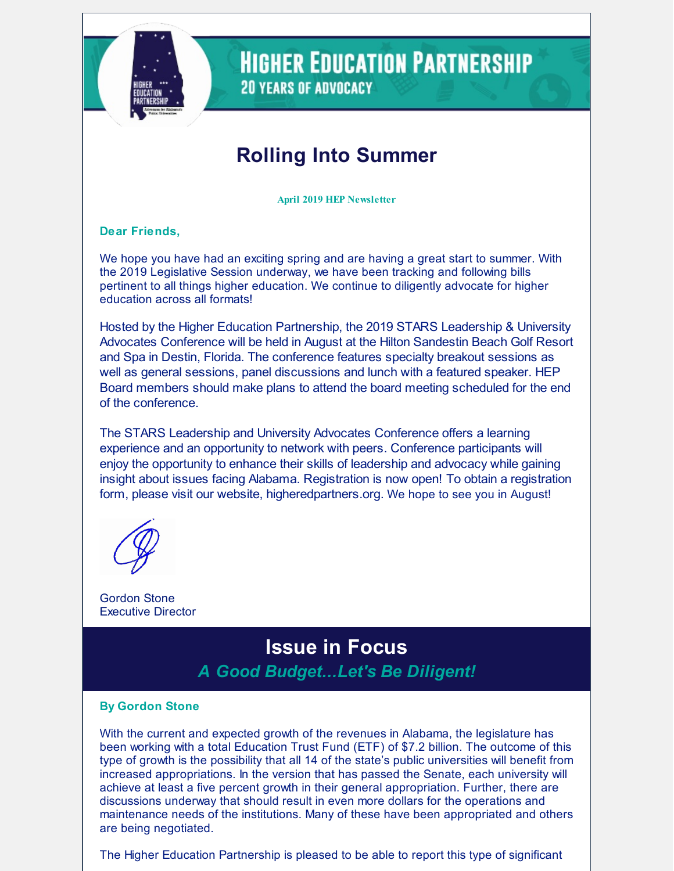

**HIGHER EDUCATION PARTNERSHIP 20 YEARS OF ADVOCACY** 

# **Rolling Into Summer**

**April 2019 HEP Newsletter**

**Dear Friends,**

We hope you have had an exciting spring and are having a great start to summer. With the 2019 Legislative Session underway, we have been tracking and following bills pertinent to all things higher education. We continue to diligently advocate for higher education across all formats!

Hosted by the Higher Education Partnership, the 2019 STARS Leadership & University Advocates Conference will be held in August at the Hilton Sandestin Beach Golf Resort and Spa in Destin, Florida. The conference features specialty breakout sessions as well as general sessions, panel discussions and lunch with a featured speaker. HEP Board members should make plans to attend the board meeting scheduled for the end of the conference.

The STARS Leadership and University Advocates Conference offers a learning experience and an opportunity to network with peers. Conference participants will enjoy the opportunity to enhance their skills of leadership and advocacy while gaining insight about issues facing Alabama. Registration is now open! To obtain a registration form, please visit our website, higheredpartners.org. We hope to see you in August!

Gordon Stone Executive Director

## **Issue in Focus** *A Good Budget...Let's Be Diligent!*

#### **By Gordon Stone**

With the current and expected growth of the revenues in Alabama, the legislature has been working with a total Education Trust Fund (ETF) of \$7.2 billion. The outcome of this type of growth is the possibility that all 14 of the state's public universities will benefit from increased appropriations. In the version that has passed the Senate, each university will achieve at least a five percent growth in their general appropriation. Further, there are discussions underway that should result in even more dollars for the operations and maintenance needs of the institutions. Many of these have been appropriated and others are being negotiated.

The Higher Education Partnership is pleased to be able to report this type of significant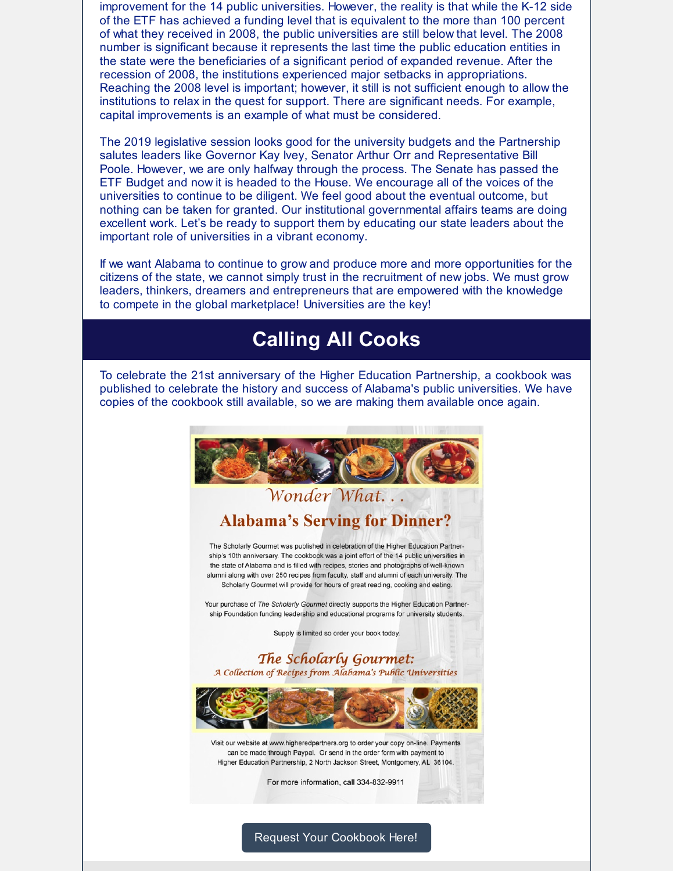improvement for the 14 public universities. However, the reality is that while the K-12 side of the ETF has achieved a funding level that is equivalent to the more than 100 percent of what they received in 2008, the public universities are still below that level. The 2008 number is significant because it represents the last time the public education entities in the state were the beneficiaries of a significant period of expanded revenue. After the recession of 2008, the institutions experienced major setbacks in appropriations. Reaching the 2008 level is important; however, it still is not sufficient enough to allow the institutions to relax in the quest for support. There are significant needs. For example, capital improvements is an example of what must be considered.

The 2019 legislative session looks good for the university budgets and the Partnership salutes leaders like Governor Kay Ivey, Senator Arthur Orr and Representative Bill Poole. However, we are only halfway through the process. The Senate has passed the ETF Budget and now it is headed to the House. We encourage all of the voices of the universities to continue to be diligent. We feel good about the eventual outcome, but nothing can be taken for granted. Our institutional governmental affairs teams are doing excellent work. Let's be ready to support them by educating our state leaders about the important role of universities in a vibrant economy.

If we want Alabama to continue to grow and produce more and more opportunities for the citizens of the state, we cannot simply trust in the recruitment of new jobs. We must grow leaders, thinkers, dreamers and entrepreneurs that are empowered with the knowledge to compete in the global marketplace! Universities are the key!

## **Calling All Cooks**

To celebrate the 21st anniversary of the Higher Education Partnership, a cookbook was published to celebrate the history and success of Alabama's public universities. We have copies of the cookbook still available, so we are making them available once again.



Request Your [Cookbook](mailto:causey@higheredpartners.org) Here!